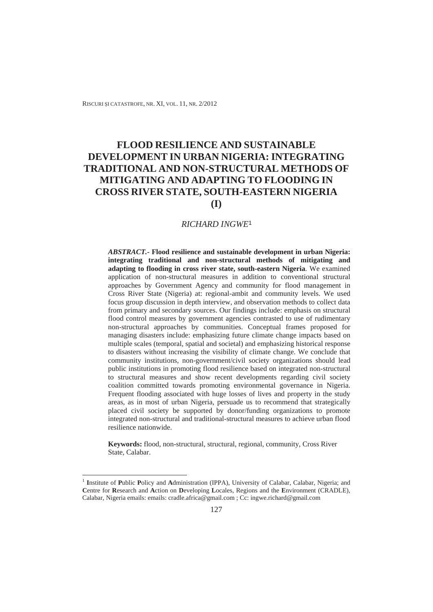RISCURI ȘI CATASTROFE, NR. XI, VOL. 11, NR. 2/2012

# **FLOOD RESILIENCE AND SUSTAINABLE DEVELOPMENT IN URBAN NIGERIA: INTEGRATING TRADITIONAL AND NON-STRUCTURAL METHODS OF MITIGATING AND ADAPTING TO FLOODING IN CROSS RIVER STATE, SOUTH-EASTERN NIGERIA (I)**

#### *RICHARD INGWE*<sup>1</sup>

*ABSTRACT.-* **Flood resilience and sustainable development in urban Nigeria: integrating traditional and non-structural methods of mitigating and adapting to flooding in cross river state, south-eastern Nigeria**. We examined application of non-structural measures in addition to conventional structural approaches by Government Agency and community for flood management in Cross River State (Nigeria) at: regional-ambit and community levels. We used focus group discussion in depth interview, and observation methods to collect data from primary and secondary sources. Our findings include: emphasis on structural flood control measures by government agencies contrasted to use of rudimentary non-structural approaches by communities. Conceptual frames proposed for managing disasters include: emphasizing future climate change impacts based on multiple scales (temporal, spatial and societal) and emphasizing historical response to disasters without increasing the visibility of climate change. We conclude that community institutions, non-government/civil society organizations should lead public institutions in promoting flood resilience based on integrated non-structural to structural measures and show recent developments regarding civil society coalition committed towards promoting environmental governance in Nigeria. Frequent flooding associated with huge losses of lives and property in the study areas, as in most of urban Nigeria, persuade us to recommend that strategically placed civil society be supported by donor/funding organizations to promote integrated non-structural and traditional-structural measures to achieve urban flood resilience nationwide.

**Keywords:** flood, non-structural, structural, regional, community, Cross River State, Calabar.

 $\overline{a}$ 

<sup>1</sup> **I**nstitute of **P**ublic **P**olicy and **A**dministration (IPPA), University of Calabar, Calabar, Nigeria; and **C**entre for **R**esearch and **A**ction on **D**eveloping **L**ocales, Regions and the **E**nvironment (CRADLE), Calabar, Nigeria emails: emails: cradle.africa@gmail.com ; Cc: ingwe.richard@gmail.com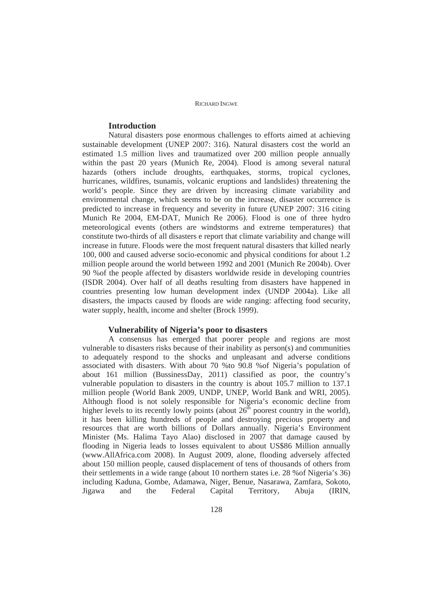# **Introduction**

Natural disasters pose enormous challenges to efforts aimed at achieving sustainable development (UNEP 2007: 316). Natural disasters cost the world an estimated 1.5 million lives and traumatized over 200 million people annually within the past 20 years (Munich Re, 2004). Flood is among several natural hazards (others include droughts, earthquakes, storms, tropical cyclones, hurricanes, wildfires, tsunamis, volcanic eruptions and landslides) threatening the world's people. Since they are driven by increasing climate variability and environmental change, which seems to be on the increase, disaster occurrence is predicted to increase in frequency and severity in future (UNEP 2007: 316 citing Munich Re 2004, EM-DAT, Munich Re 2006). Flood is one of three hydro meteorological events (others are windstorms and extreme temperatures) that constitute two-thirds of all disasters e report that climate variability and change will increase in future. Floods were the most frequent natural disasters that killed nearly 100, 000 and caused adverse socio-economic and physical conditions for about 1.2 million people around the world between 1992 and 2001 (Munich Re 2004b). Over 90 %of the people affected by disasters worldwide reside in developing countries (ISDR 2004). Over half of all deaths resulting from disasters have happened in countries presenting low human development index (UNDP 2004a). Like all disasters, the impacts caused by floods are wide ranging: affecting food security, water supply, health, income and shelter (Brock 1999).

### **Vulnerability of Nigeria's poor to disasters**

A consensus has emerged that poorer people and regions are most vulnerable to disasters risks because of their inability as person(s) and communities to adequately respond to the shocks and unpleasant and adverse conditions associated with disasters. With about 70 %to 90.8 %of Nigeria's population of about 161 million (BussinessDay, 2011) classified as poor, the country's vulnerable population to disasters in the country is about 105.7 million to 137.1 million people (World Bank 2009, UNDP, UNEP, World Bank and WRI, 2005). Although flood is not solely responsible for Nigeria's economic decline from higher levels to its recently lowly points (about  $26<sup>th</sup>$  poorest country in the world), it has been killing hundreds of people and destroying precious property and resources that are worth billions of Dollars annually. Nigeria's Environment Minister (Ms. Halima Tayo Alao) disclosed in 2007 that damage caused by flooding in Nigeria leads to losses equivalent to about US\$86 Million annually (www.AllAfrica.com 2008). In August 2009, alone, flooding adversely affected about 150 million people, caused displacement of tens of thousands of others from their settlements in a wide range (about 10 northern states i.e. 28 %of Nigeria's 36) including Kaduna, Gombe, Adamawa, Niger, Benue, Nasarawa, Zamfara, Sokoto, Jigawa and the Federal Capital Territory, Abuja (IRIN,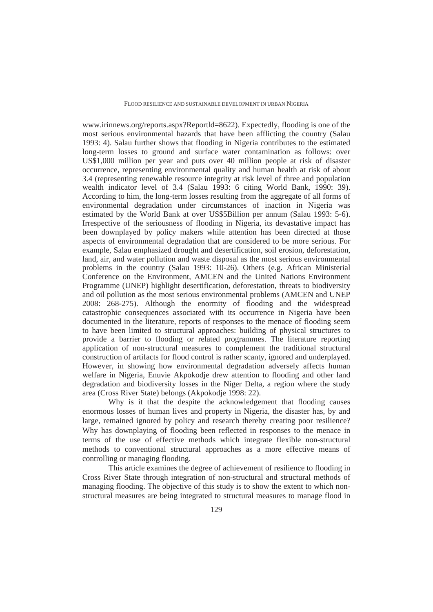www.irinnews.org/reports.aspx?Reportld=8622). Expectedly, flooding is one of the most serious environmental hazards that have been afflicting the country (Salau 1993: 4). Salau further shows that flooding in Nigeria contributes to the estimated long-term losses to ground and surface water contamination as follows: over US\$1,000 million per year and puts over 40 million people at risk of disaster occurrence, representing environmental quality and human health at risk of about 3.4 (representing renewable resource integrity at risk level of three and population wealth indicator level of 3.4 (Salau 1993: 6 citing World Bank, 1990: 39). According to him, the long-term losses resulting from the aggregate of all forms of environmental degradation under circumstances of inaction in Nigeria was estimated by the World Bank at over US\$5Billion per annum (Salau 1993: 5-6). Irrespective of the seriousness of flooding in Nigeria, its devastative impact has been downplayed by policy makers while attention has been directed at those aspects of environmental degradation that are considered to be more serious. For example, Salau emphasized drought and desertification, soil erosion, deforestation, land, air, and water pollution and waste disposal as the most serious environmental problems in the country (Salau 1993: 10-26). Others (e.g. African Ministerial Conference on the Environment, AMCEN and the United Nations Environment Programme (UNEP) highlight desertification, deforestation, threats to biodiversity and oil pollution as the most serious environmental problems (AMCEN and UNEP 2008: 268-275). Although the enormity of flooding and the widespread catastrophic consequences associated with its occurrence in Nigeria have been documented in the literature, reports of responses to the menace of flooding seem to have been limited to structural approaches: building of physical structures to provide a barrier to flooding or related programmes. The literature reporting application of non-structural measures to complement the traditional structural construction of artifacts for flood control is rather scanty, ignored and underplayed. However, in showing how environmental degradation adversely affects human welfare in Nigeria, Enuvie Akpokodje drew attention to flooding and other land degradation and biodiversity losses in the Niger Delta, a region where the study area (Cross River State) belongs (Akpokodje 1998: 22).

Why is it that the despite the acknowledgement that flooding causes enormous losses of human lives and property in Nigeria, the disaster has, by and large, remained ignored by policy and research thereby creating poor resilience? Why has downplaying of flooding been reflected in responses to the menace in terms of the use of effective methods which integrate flexible non-structural methods to conventional structural approaches as a more effective means of controlling or managing flooding.

This article examines the degree of achievement of resilience to flooding in Cross River State through integration of non-structural and structural methods of managing flooding. The objective of this study is to show the extent to which nonstructural measures are being integrated to structural measures to manage flood in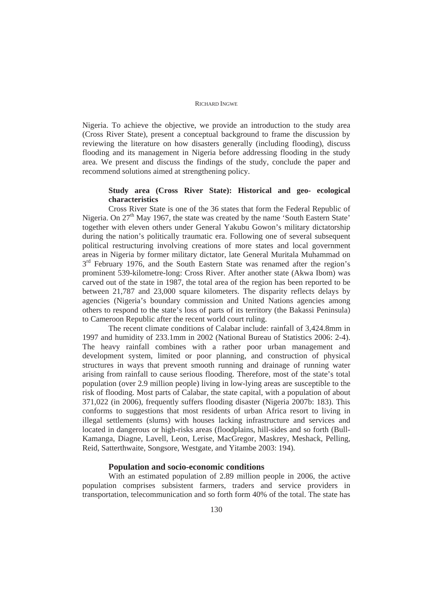Nigeria. To achieve the objective, we provide an introduction to the study area (Cross River State), present a conceptual background to frame the discussion by reviewing the literature on how disasters generally (including flooding), discuss flooding and its management in Nigeria before addressing flooding in the study area. We present and discuss the findings of the study, conclude the paper and recommend solutions aimed at strengthening policy.

# **Study area (Cross River State): Historical and geo- ecological characteristics**

Cross River State is one of the 36 states that form the Federal Republic of Nigeria. On  $27<sup>th</sup>$  May 1967, the state was created by the name 'South Eastern State' together with eleven others under General Yakubu Gowon's military dictatorship during the nation's politically traumatic era. Following one of several subsequent political restructuring involving creations of more states and local government areas in Nigeria by former military dictator, late General Muritala Muhammad on  $3<sup>rd</sup>$  February 1976, and the South Eastern State was renamed after the region's prominent 539-kilometre-long: Cross River. After another state (Akwa Ibom) was carved out of the state in 1987, the total area of the region has been reported to be between 21,787 and 23,000 square kilometers. The disparity reflects delays by agencies (Nigeria's boundary commission and United Nations agencies among others to respond to the state's loss of parts of its territory (the Bakassi Peninsula) to Cameroon Republic after the recent world court ruling.

The recent climate conditions of Calabar include: rainfall of 3,424.8mm in 1997 and humidity of 233.1mm in 2002 (National Bureau of Statistics 2006: 2-4). The heavy rainfall combines with a rather poor urban management and development system, limited or poor planning, and construction of physical structures in ways that prevent smooth running and drainage of running water arising from rainfall to cause serious flooding. Therefore, most of the state's total population (over 2.9 million people) living in low-lying areas are susceptible to the risk of flooding. Most parts of Calabar, the state capital, with a population of about 371,022 (in 2006), frequently suffers flooding disaster (Nigeria 2007b: 183). This conforms to suggestions that most residents of urban Africa resort to living in illegal settlements (slums) with houses lacking infrastructure and services and located in dangerous or high-risks areas (floodplains, hill-sides and so forth (Bull-Kamanga, Diagne, Lavell, Leon, Lerise, MacGregor, Maskrey, Meshack, Pelling, Reid, Satterthwaite, Songsore, Westgate, and Yitambe 2003: 194).

### **Population and socio-economic conditions**

With an estimated population of 2.89 million people in 2006, the active population comprises subsistent farmers, traders and service providers in transportation, telecommunication and so forth form 40% of the total. The state has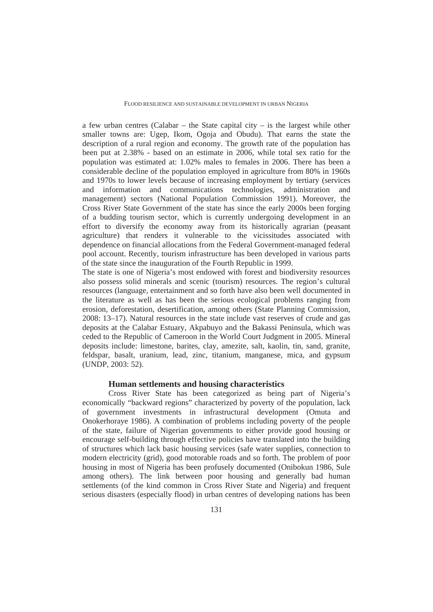a few urban centres (Calabar – the State capital city – is the largest while other smaller towns are: Ugep, Ikom, Ogoja and Obudu). That earns the state the description of a rural region and economy. The growth rate of the population has been put at 2.38% - based on an estimate in 2006, while total sex ratio for the population was estimated at: 1.02% males to females in 2006. There has been a considerable decline of the population employed in agriculture from 80% in 1960s and 1970s to lower levels because of increasing employment by tertiary (services and information and communications technologies, administration and management) sectors (National Population Commission 1991). Moreover, the Cross River State Government of the state has since the early 2000s been forging of a budding tourism sector, which is currently undergoing development in an effort to diversify the economy away from its historically agrarian (peasant agriculture) that renders it vulnerable to the vicissitudes associated with dependence on financial allocations from the Federal Government-managed federal pool account. Recently, tourism infrastructure has been developed in various parts of the state since the inauguration of the Fourth Republic in 1999.

The state is one of Nigeria's most endowed with forest and biodiversity resources also possess solid minerals and scenic (tourism) resources. The region's cultural resources (language, entertainment and so forth have also been well documented in the literature as well as has been the serious ecological problems ranging from erosion, deforestation, desertification, among others (State Planning Commission, 2008: 13–17). Natural resources in the state include vast reserves of crude and gas deposits at the Calabar Estuary, Akpabuyo and the Bakassi Peninsula, which was ceded to the Republic of Cameroon in the World Court Judgment in 2005. Mineral deposits include: limestone, barites, clay, amezite, salt, kaolin, tin, sand, granite, feldspar, basalt, uranium, lead, zinc, titanium, manganese, mica, and gypsum (UNDP, 2003: 52).

#### **Human settlements and housing characteristics**

Cross River State has been categorized as being part of Nigeria's economically "backward regions" characterized by poverty of the population, lack of government investments in infrastructural development (Omuta and Onokerhoraye 1986). A combination of problems including poverty of the people of the state, failure of Nigerian governments to either provide good housing or encourage self-building through effective policies have translated into the building of structures which lack basic housing services (safe water supplies, connection to modern electricity (grid), good motorable roads and so forth. The problem of poor housing in most of Nigeria has been profusely documented (Onibokun 1986, Sule among others). The link between poor housing and generally bad human settlements (of the kind common in Cross River State and Nigeria) and frequent serious disasters (especially flood) in urban centres of developing nations has been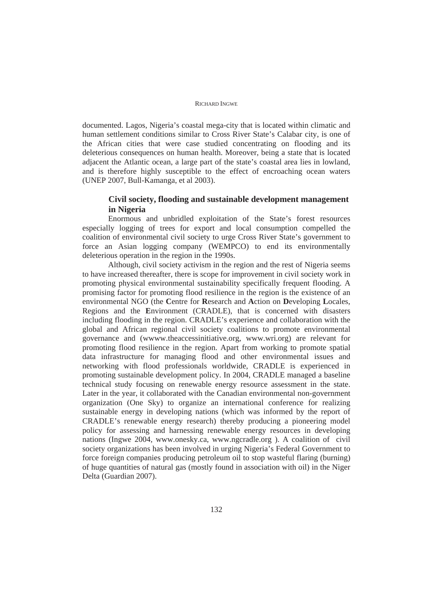documented. Lagos, Nigeria's coastal mega-city that is located within climatic and human settlement conditions similar to Cross River State's Calabar city, is one of the African cities that were case studied concentrating on flooding and its deleterious consequences on human health. Moreover, being a state that is located adjacent the Atlantic ocean, a large part of the state's coastal area lies in lowland, and is therefore highly susceptible to the effect of encroaching ocean waters (UNEP 2007, Bull-Kamanga, et al 2003).

# **Civil society, flooding and sustainable development management in Nigeria**

Enormous and unbridled exploitation of the State's forest resources especially logging of trees for export and local consumption compelled the coalition of environmental civil society to urge Cross River State's government to force an Asian logging company (WEMPCO) to end its environmentally deleterious operation in the region in the 1990s.

Although, civil society activism in the region and the rest of Nigeria seems to have increased thereafter, there is scope for improvement in civil society work in promoting physical environmental sustainability specifically frequent flooding. A promising factor for promoting flood resilience in the region is the existence of an environmental NGO (the **C**entre for **R**esearch and **A**ction on **D**eveloping **L**ocales, Regions and the **E**nvironment (CRADLE), that is concerned with disasters including flooding in the region. CRADLE's experience and collaboration with the global and African regional civil society coalitions to promote environmental governance and (wwww.theaccessinitiative.org, www.wri.org) are relevant for promoting flood resilience in the region. Apart from working to promote spatial data infrastructure for managing flood and other environmental issues and networking with flood professionals worldwide, CRADLE is experienced in promoting sustainable development policy. In 2004, CRADLE managed a baseline technical study focusing on renewable energy resource assessment in the state. Later in the year, it collaborated with the Canadian environmental non-government organization (One Sky) to organize an international conference for realizing sustainable energy in developing nations (which was informed by the report of CRADLE's renewable energy research) thereby producing a pioneering model policy for assessing and harnessing renewable energy resources in developing nations (Ingwe 2004, www.onesky.ca, www.ngcradle.org ). A coalition of civil society organizations has been involved in urging Nigeria's Federal Government to force foreign companies producing petroleum oil to stop wasteful flaring (burning) of huge quantities of natural gas (mostly found in association with oil) in the Niger Delta (Guardian 2007).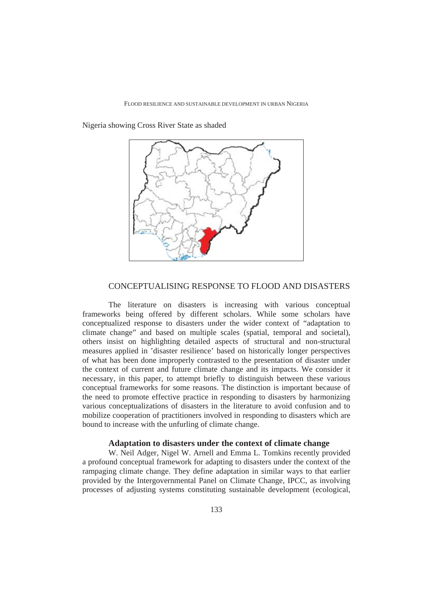Nigeria showing Cross River State as shaded



### CONCEPTUALISING RESPONSE TO FLOOD AND DISASTERS

The literature on disasters is increasing with various conceptual frameworks being offered by different scholars. While some scholars have conceptualized response to disasters under the wider context of "adaptation to climate change" and based on multiple scales (spatial, temporal and societal), others insist on highlighting detailed aspects of structural and non-structural measures applied in 'disaster resilience' based on historically longer perspectives of what has been done improperly contrasted to the presentation of disaster under the context of current and future climate change and its impacts. We consider it necessary, in this paper, to attempt briefly to distinguish between these various conceptual frameworks for some reasons. The distinction is important because of the need to promote effective practice in responding to disasters by harmonizing various conceptualizations of disasters in the literature to avoid confusion and to mobilize cooperation of practitioners involved in responding to disasters which are bound to increase with the unfurling of climate change.

### **Adaptation to disasters under the context of climate change**

W. Neil Adger, Nigel W. Arnell and Emma L. Tomkins recently provided a profound conceptual framework for adapting to disasters under the context of the rampaging climate change. They define adaptation in similar ways to that earlier provided by the Intergovernmental Panel on Climate Change, IPCC, as involving processes of adjusting systems constituting sustainable development (ecological,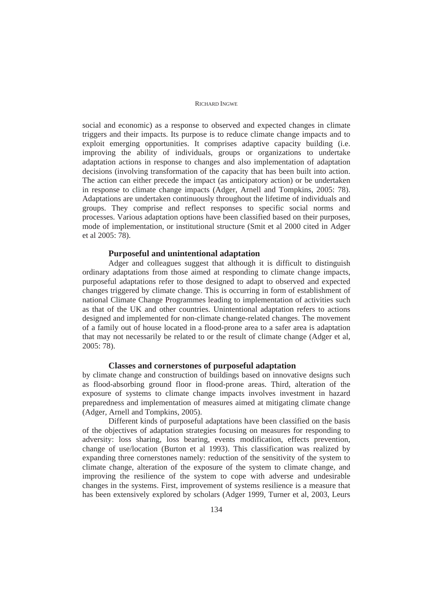social and economic) as a response to observed and expected changes in climate triggers and their impacts. Its purpose is to reduce climate change impacts and to exploit emerging opportunities. It comprises adaptive capacity building (i.e. improving the ability of individuals, groups or organizations to undertake adaptation actions in response to changes and also implementation of adaptation decisions (involving transformation of the capacity that has been built into action. The action can either precede the impact (as anticipatory action) or be undertaken in response to climate change impacts (Adger, Arnell and Tompkins, 2005: 78). Adaptations are undertaken continuously throughout the lifetime of individuals and groups. They comprise and reflect responses to specific social norms and processes. Various adaptation options have been classified based on their purposes, mode of implementation, or institutional structure (Smit et al 2000 cited in Adger et al 2005: 78).

### **Purposeful and unintentional adaptation**

Adger and colleagues suggest that although it is difficult to distinguish ordinary adaptations from those aimed at responding to climate change impacts, purposeful adaptations refer to those designed to adapt to observed and expected changes triggered by climate change. This is occurring in form of establishment of national Climate Change Programmes leading to implementation of activities such as that of the UK and other countries. Unintentional adaptation refers to actions designed and implemented for non-climate change-related changes. The movement of a family out of house located in a flood-prone area to a safer area is adaptation that may not necessarily be related to or the result of climate change (Adger et al, 2005: 78).

#### **Classes and cornerstones of purposeful adaptation**

by climate change and construction of buildings based on innovative designs such as flood-absorbing ground floor in flood-prone areas. Third, alteration of the exposure of systems to climate change impacts involves investment in hazard preparedness and implementation of measures aimed at mitigating climate change (Adger, Arnell and Tompkins, 2005).

Different kinds of purposeful adaptations have been classified on the basis of the objectives of adaptation strategies focusing on measures for responding to adversity: loss sharing, loss bearing, events modification, effects prevention, change of use/location (Burton et al 1993). This classification was realized by expanding three cornerstones namely: reduction of the sensitivity of the system to climate change, alteration of the exposure of the system to climate change, and improving the resilience of the system to cope with adverse and undesirable changes in the systems. First, improvement of systems resilience is a measure that has been extensively explored by scholars (Adger 1999, Turner et al, 2003, Leurs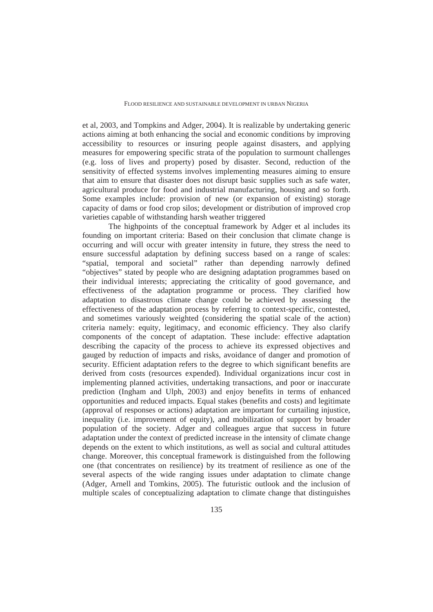et al, 2003, and Tompkins and Adger, 2004). It is realizable by undertaking generic actions aiming at both enhancing the social and economic conditions by improving accessibility to resources or insuring people against disasters, and applying measures for empowering specific strata of the population to surmount challenges (e.g. loss of lives and property) posed by disaster. Second, reduction of the sensitivity of effected systems involves implementing measures aiming to ensure that aim to ensure that disaster does not disrupt basic supplies such as safe water, agricultural produce for food and industrial manufacturing, housing and so forth. Some examples include: provision of new (or expansion of existing) storage capacity of dams or food crop silos; development or distribution of improved crop varieties capable of withstanding harsh weather triggered

The highpoints of the conceptual framework by Adger et al includes its founding on important criteria: Based on their conclusion that climate change is occurring and will occur with greater intensity in future, they stress the need to ensure successful adaptation by defining success based on a range of scales: "spatial, temporal and societal" rather than depending narrowly defined "objectives" stated by people who are designing adaptation programmes based on their individual interests; appreciating the criticality of good governance, and effectiveness of the adaptation programme or process. They clarified how adaptation to disastrous climate change could be achieved by assessing the effectiveness of the adaptation process by referring to context-specific, contested, and sometimes variously weighted (considering the spatial scale of the action) criteria namely: equity, legitimacy, and economic efficiency. They also clarify components of the concept of adaptation. These include: effective adaptation describing the capacity of the process to achieve its expressed objectives and gauged by reduction of impacts and risks, avoidance of danger and promotion of security. Efficient adaptation refers to the degree to which significant benefits are derived from costs (resources expended). Individual organizations incur cost in implementing planned activities, undertaking transactions, and poor or inaccurate prediction (Ingham and Ulph, 2003) and enjoy benefits in terms of enhanced opportunities and reduced impacts. Equal stakes (benefits and costs) and legitimate (approval of responses or actions) adaptation are important for curtailing injustice, inequality (i.e. improvement of equity), and mobilization of support by broader population of the society. Adger and colleagues argue that success in future adaptation under the context of predicted increase in the intensity of climate change depends on the extent to which institutions, as well as social and cultural attitudes change. Moreover, this conceptual framework is distinguished from the following one (that concentrates on resilience) by its treatment of resilience as one of the several aspects of the wide ranging issues under adaptation to climate change (Adger, Arnell and Tomkins, 2005). The futuristic outlook and the inclusion of multiple scales of conceptualizing adaptation to climate change that distinguishes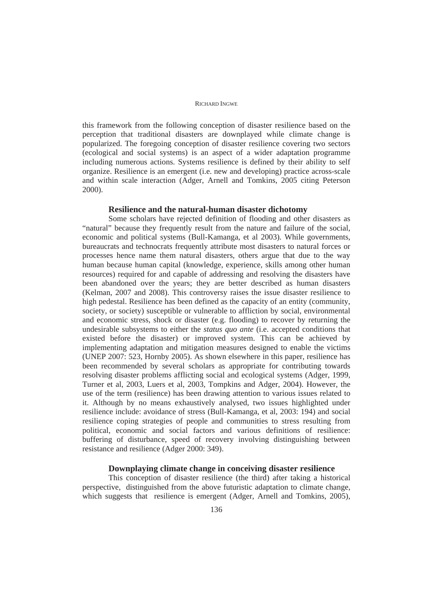this framework from the following conception of disaster resilience based on the perception that traditional disasters are downplayed while climate change is popularized. The foregoing conception of disaster resilience covering two sectors (ecological and social systems) is an aspect of a wider adaptation programme including numerous actions. Systems resilience is defined by their ability to self organize. Resilience is an emergent (i.e. new and developing) practice across-scale and within scale interaction (Adger, Arnell and Tomkins, 2005 citing Peterson 2000).

#### **Resilience and the natural-human disaster dichotomy**

Some scholars have rejected definition of flooding and other disasters as "natural" because they frequently result from the nature and failure of the social, economic and political systems (Bull-Kamanga, et al 2003). While governments, bureaucrats and technocrats frequently attribute most disasters to natural forces or processes hence name them natural disasters, others argue that due to the way human because human capital (knowledge, experience, skills among other human resources) required for and capable of addressing and resolving the disasters have been abandoned over the years; they are better described as human disasters (Kelman, 2007 and 2008). This controversy raises the issue disaster resilience to high pedestal. Resilience has been defined as the capacity of an entity (community, society, or society) susceptible or vulnerable to affliction by social, environmental and economic stress, shock or disaster (e.g. flooding) to recover by returning the undesirable subsystems to either the *status quo ante* (i.e. accepted conditions that existed before the disaster) or improved system. This can be achieved by implementing adaptation and mitigation measures designed to enable the victims (UNEP 2007: 523, Hornby 2005). As shown elsewhere in this paper, resilience has been recommended by several scholars as appropriate for contributing towards resolving disaster problems afflicting social and ecological systems (Adger, 1999, Turner et al, 2003, Luers et al, 2003, Tompkins and Adger, 2004). However, the use of the term (resilience) has been drawing attention to various issues related to it. Although by no means exhaustively analysed, two issues highlighted under resilience include: avoidance of stress (Bull-Kamanga, et al, 2003: 194) and social resilience coping strategies of people and communities to stress resulting from political, economic and social factors and various definitions of resilience: buffering of disturbance, speed of recovery involving distinguishing between resistance and resilience (Adger 2000: 349).

### **Downplaying climate change in conceiving disaster resilience**

This conception of disaster resilience (the third) after taking a historical perspective, distinguished from the above futuristic adaptation to climate change, which suggests that resilience is emergent (Adger, Arnell and Tomkins, 2005),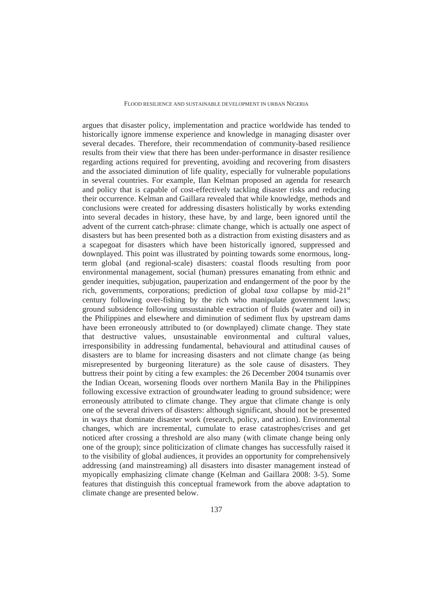argues that disaster policy, implementation and practice worldwide has tended to historically ignore immense experience and knowledge in managing disaster over several decades. Therefore, their recommendation of community-based resilience results from their view that there has been under-performance in disaster resilience regarding actions required for preventing, avoiding and recovering from disasters and the associated diminution of life quality, especially for vulnerable populations in several countries. For example, Ilan Kelman proposed an agenda for research and policy that is capable of cost-effectively tackling disaster risks and reducing their occurrence. Kelman and Gaillara revealed that while knowledge, methods and conclusions were created for addressing disasters holistically by works extending into several decades in history, these have, by and large, been ignored until the advent of the current catch-phrase: climate change, which is actually one aspect of disasters but has been presented both as a distraction from existing disasters and as a scapegoat for disasters which have been historically ignored, suppressed and downplayed. This point was illustrated by pointing towards some enormous, longterm global (and regional-scale) disasters: coastal floods resulting from poor environmental management, social (human) pressures emanating from ethnic and gender inequities, subjugation, pauperization and endangerment of the poor by the rich, governments, corporations; prediction of global *taxa* collapse by mid-21<sup>st</sup> century following over-fishing by the rich who manipulate government laws; ground subsidence following unsustainable extraction of fluids (water and oil) in the Philippines and elsewhere and diminution of sediment flux by upstream dams have been erroneously attributed to (or downplayed) climate change. They state that destructive values, unsustainable environmental and cultural values, irresponsibility in addressing fundamental, behavioural and attitudinal causes of disasters are to blame for increasing disasters and not climate change (as being misrepresented by burgeoning literature) as the sole cause of disasters. They buttress their point by citing a few examples: the 26 December 2004 tsunamis over the Indian Ocean, worsening floods over northern Manila Bay in the Philippines following excessive extraction of groundwater leading to ground subsidence; were erroneously attributed to climate change. They argue that climate change is only one of the several drivers of disasters: although significant, should not be presented in ways that dominate disaster work (research, policy, and action). Environmental changes, which are incremental, cumulate to erase catastrophes/crises and get noticed after crossing a threshold are also many (with climate change being only one of the group); since politicization of climate changes has successfully raised it to the visibility of global audiences, it provides an opportunity for comprehensively addressing (and mainstreaming) all disasters into disaster management instead of myopically emphasizing climate change (Kelman and Gaillara 2008: 3-5). Some features that distinguish this conceptual framework from the above adaptation to climate change are presented below.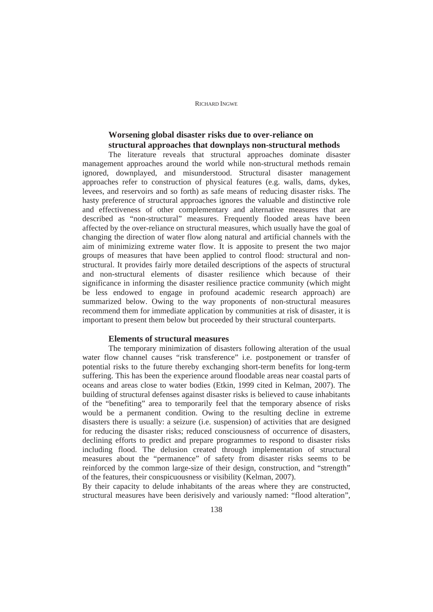# **Worsening global disaster risks due to over-reliance on structural approaches that downplays non-structural methods**

The literature reveals that structural approaches dominate disaster management approaches around the world while non-structural methods remain ignored, downplayed, and misunderstood. Structural disaster management approaches refer to construction of physical features (e.g. walls, dams, dykes, levees, and reservoirs and so forth) as safe means of reducing disaster risks. The hasty preference of structural approaches ignores the valuable and distinctive role and effectiveness of other complementary and alternative measures that are described as "non-structural" measures. Frequently flooded areas have been affected by the over-reliance on structural measures, which usually have the goal of changing the direction of water flow along natural and artificial channels with the aim of minimizing extreme water flow. It is apposite to present the two major groups of measures that have been applied to control flood: structural and nonstructural. It provides fairly more detailed descriptions of the aspects of structural and non-structural elements of disaster resilience which because of their significance in informing the disaster resilience practice community (which might be less endowed to engage in profound academic research approach) are summarized below. Owing to the way proponents of non-structural measures recommend them for immediate application by communities at risk of disaster, it is important to present them below but proceeded by their structural counterparts.

### **Elements of structural measures**

The temporary minimization of disasters following alteration of the usual water flow channel causes "risk transference" i.e. postponement or transfer of potential risks to the future thereby exchanging short-term benefits for long-term suffering. This has been the experience around floodable areas near coastal parts of oceans and areas close to water bodies (Etkin, 1999 cited in Kelman, 2007). The building of structural defenses against disaster risks is believed to cause inhabitants of the "benefiting" area to temporarily feel that the temporary absence of risks would be a permanent condition. Owing to the resulting decline in extreme disasters there is usually: a seizure (i.e. suspension) of activities that are designed for reducing the disaster risks; reduced consciousness of occurrence of disasters, declining efforts to predict and prepare programmes to respond to disaster risks including flood. The delusion created through implementation of structural measures about the "permanence" of safety from disaster risks seems to be reinforced by the common large-size of their design, construction, and "strength" of the features, their conspicuousness or visibility (Kelman, 2007).

By their capacity to delude inhabitants of the areas where they are constructed, structural measures have been derisively and variously named: "flood alteration",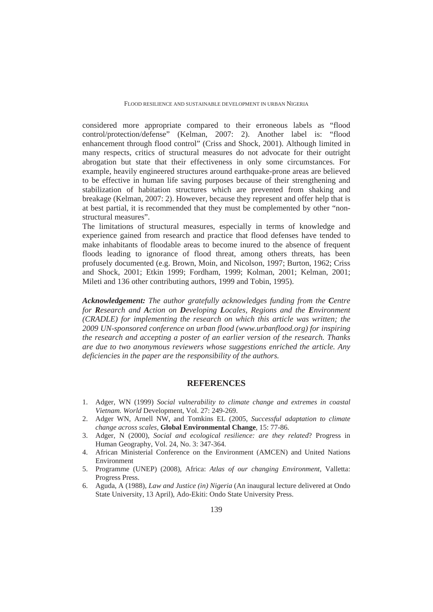considered more appropriate compared to their erroneous labels as "flood control/protection/defense" (Kelman, 2007: 2). Another label is: "flood enhancement through flood control" (Criss and Shock, 2001). Although limited in many respects, critics of structural measures do not advocate for their outright abrogation but state that their effectiveness in only some circumstances. For example, heavily engineered structures around earthquake-prone areas are believed to be effective in human life saving purposes because of their strengthening and stabilization of habitation structures which are prevented from shaking and breakage (Kelman, 2007: 2). However, because they represent and offer help that is at best partial, it is recommended that they must be complemented by other "nonstructural measures".

The limitations of structural measures, especially in terms of knowledge and experience gained from research and practice that flood defenses have tended to make inhabitants of floodable areas to become inured to the absence of frequent floods leading to ignorance of flood threat, among others threats, has been profusely documented (e.g. Brown, Moin, and Nicolson, 1997; Burton, 1962; Criss and Shock, 2001; Etkin 1999; Fordham, 1999; Kolman, 2001; Kelman, 2001; Mileti and 136 other contributing authors, 1999 and Tobin, 1995).

*Acknowledgement: The author gratefully acknowledges funding from the Centre for Research and Action on Developing Locales, Regions and the Environment (CRADLE) for implementing the research on which this article was written; the 2009 UN-sponsored conference on urban flood (www.urbanflood.org) for inspiring the research and accepting a poster of an earlier version of the research. Thanks are due to two anonymous reviewers whose suggestions enriched the article. Any deficiencies in the paper are the responsibility of the authors.*

# **REFERENCES**

- 1. Adger, WN (1999) *Social vulnerability to climate change and extremes in coastal Vietnam. World* Development, Vol. 27: 249-269.
- 2. Adger WN, Arnell NW, and Tomkins EL (2005*, Successful adaptation to climate change across scales,* **Global Environmental Change**, 15: 77-86.
- 3. Adger, N (2000), *Social and ecological resilience: are they related*? Progress in Human Geography, Vol. 24, No. 3: 347-364.
- 4. African Ministerial Conference on the Environment (AMCEN) and United Nations Environment
- 5. Programme (UNEP) (2008), Africa: *Atlas of our changing Environment*, Valletta: Progress Press.
- 6. Aguda, A (1988), *Law and Justice (in) Nigeria* (An inaugural lecture delivered at Ondo State University, 13 April), Ado-Ekiti: Ondo State University Press.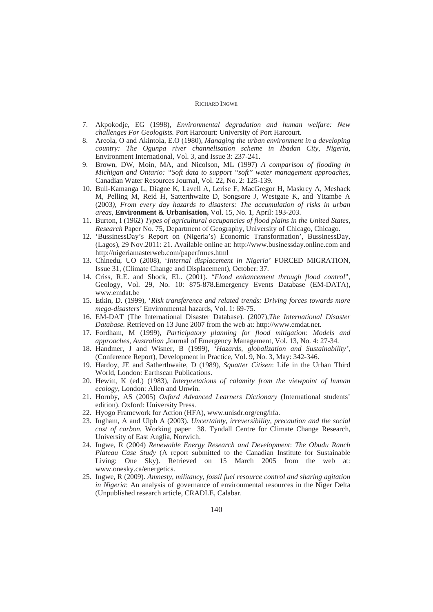- 7. Akpokodje, EG (1998), *Environmental degradation and human welfare: New challenges For Geologists.* Port Harcourt: University of Port Harcourt.
- 8. Areola, O and Akintola, E.O (1980), *Managing the urban environment in a developing country: The Ogunpa river channelisation scheme in Ibadan City, Nigeria*, Environment International, Vol. 3, and Issue 3: 237-241.
- 9. Brown, DW, Moin, MA, and Nicolson, ML (1997) *A comparison of flooding in Michigan and Ontario: "Soft data to support "soft" water management approaches*, Canadian Water Resources Journal, Vol. 22, No. 2: 125-139.
- 10. Bull-Kamanga L, Diagne K, Lavell A, Lerise F, MacGregor H, Maskrey A, Meshack M, Pelling M, Reid H, Satterthwaite D, Songsore J, Westgate K, and Yitambe A (2003*), From every day hazards to disasters: The accumulation of risks in urban areas*, **Environment & Urbanisation,** Vol. 15, No. 1, April: 193-203.
- 11. Burton, I (1962) *Types of agricultural occupancies of flood plains in the United States, Research* Paper No. 75, Department of Geography, University of Chicago, Chicago.
- 12. 'BussinessDay's Report on (Nigeria's) Economic Transformation', BussinessDay, (Lagos), 29 Nov.2011: 21. Available online at: http://www.businessday.online.com and http://nigeriamasterweb.com/paperfrmes.html
- 13. Chinedu, UO (2008), '*Internal displacement in Nigeria'* FORCED MIGRATION, Issue 31, (Climate Change and Displacement), October: 37.
- 14. Criss, R.E. and Shock, EL. (2001). "*Flood enhancement through flood control*", Geology, Vol. 29, No. 10: 875-878.Emergency Events Database (EM-DATA), www.emdat.be
- 15. Etkin, D. (1999), '*Risk transference and related trends: Driving forces towards more mega-disasters'* Environmental hazards, Vol. 1: 69-75.
- 16. EM-DAT (The International Disaster Database). (2007),*The International Disaster Database.* Retrieved on 13 June 2007 from the web at: http://www.emdat.net.
- 17. Fordham, M (1999), *Participatory planning for flood mitigation: Models and approaches, Australian ,*Journal of Emergency Management, Vol. 13, No. 4: 27-34.
- 18. Handmer, J and Wisner, B (1999), '*Hazards, globalization and Sustainability'*, (Conference Report), Development in Practice, Vol. 9, No. 3, May: 342-346.
- 19. Hardoy, JE and Satherthwaite, D (1989), *Squatter Citizen*: Life in the Urban Third World, London: Earthscan Publications.
- 20. Hewitt, K (ed.) (1983), *Interpretations of calamity from the viewpoint of human ecology*, London: Allen and Unwin.
- 21. Hornby, AS (2005) *Oxford Advanced Learners Dictionary* (International students' edition). Oxford: University Press.
- 22. Hyogo Framework for Action (HFA), www.unisdr.org/eng/hfa.
- 23. Ingham, A and Ulph A (2003). *Uncertainty, irreversibility, precaution and the social cost of carbon.* Working paper 38. Tyndall Centre for Climate Change Research, University of East Anglia, Norwich.
- 24. Ingwe, R (2004) *Renewable Energy Research and Development*: *The Obudu Ranch Plateau Case Study* (A report submitted to the Canadian Institute for Sustainable Living: One Sky). Retrieved on 15 March 2005 from the web at: www.onesky.ca/energetics.
- 25. Ingwe, R (2009). *Amnesty, militancy, fossil fuel resource control and sharing agitation in Nigeria*: An analysis of governance of environmental resources in the Niger Delta (Unpublished research article, CRADLE, Calabar.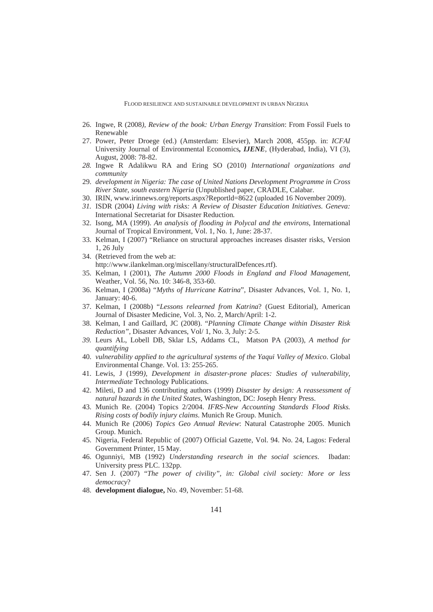- 26. Ingwe, R (2008*), Review of the book: Urban Energy Transition*: From Fossil Fuels to Renewable
- 27. Power, Peter Droege (ed.) (Amsterdam: Elsevier), March 2008, 455pp. in: *ICFAI*  University Journal of Environmental Economics*, IJENE*, (Hyderabad, India), VI (3), August, 2008: 78-82.
- *28.* Ingwe R Adalikwu RA and Ering SO (2010) *International organizations and community*
- 29. *development in Nigeria: The case of United Nations Development Programme in Cross River State, south eastern Nigeria* (Unpublished paper, CRADLE, Calabar.
- 30. IRIN, www.irinnews.org/reports.aspx?Reportld=8622 (uploaded 16 November 2009).
- *31.* ISDR (2004) *Living with risks: A Review of Disaster Education Initiatives. Geneva:*  International Secretariat for Disaster Reduction*.*
- 32. Isong, MA (1999). *An analysis of flooding in Polycal and the environs*, International Journal of Tropical Environment, Vol. 1, No. 1, June: 28-37.
- 33. Kelman, I (2007) "Reliance on structural approaches increases disaster risks, Version 1, 26 July
- 34. (Retrieved from the web at: http://www.ilankelman.org/miscellany/structuralDefences.rtf).
- 35. Kelman, I (2001), *The Autumn 2000 Floods in England and Flood Management*, Weather, Vol. 56, No. 10: 346-8, 353-60.
- 36. Kelman, I (2008a) "*Myths of Hurricane Katrina*", Disaster Advances, Vol. 1, No. 1, January: 40-6.
- 37. Kelman, I (2008b) "*Lessons relearned from Katrina*? (Guest Editorial), American Journal of Disaster Medicine, Vol. 3, No. 2, March/April: 1-2.
- 38. Kelman, I and Gaillard, JC (2008). "*Planning Climate Change within Disaster Risk Reduction",* Disaster Advances, Vol/ 1, No. 3, July: 2-5.
- *39.* Leurs AL, Lobell DB, Sklar LS, Addams CL, Matson PA (2003), *A method for quantifying*
- 40. *vulnerability applied to the agricultural systems of the Yaqui Valley of Mexico*. Global Environmental Change. Vol. 13: 255-265.
- 41. Lewis, J (1999*), Development in disaster-prone places: Studies of vulnerability, Intermediate* Technology Publications.
- 42. Mileti, D and 136 contributing authors (1999) *Disaster by design: A reassessment of natural hazards in the United States*, Washington, DC: Joseph Henry Press.
- 43. Munich Re. (2004) Topics 2/2004. *IFRS-New Accounting Standards Flood Risks. Rising costs of bodily injury claims*. Munich Re Group. Munich.
- 44. Munich Re (2006) *Topics Geo Annual Review*: Natural Catastrophe 2005. Munich Group. Munich.
- 45. Nigeria, Federal Republic of (2007) Official Gazette, Vol. 94. No. 24, Lagos: Federal Government Printer, 15 May.
- 46. Ogunniyi, MB (1992) *Understanding research in the social sciences*. Ibadan: University press PLC. 132pp.
- 47. Sen J. (2007) "*The power of civility", in: Global civil society: More or less democracy*?
- 48. **development dialogue,** No. 49, November: 51-68.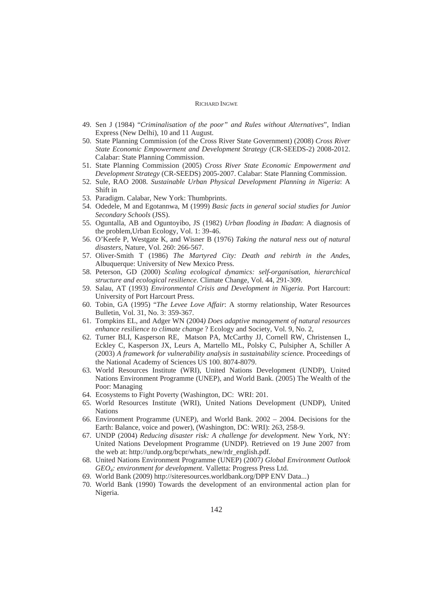- 49. Sen J (1984) "*Criminalisation of the poor" and Rules without Alternatives*", Indian Express (New Delhi), 10 and 11 August.
- 50. State Planning Commission (of the Cross River State Government) (2008) *Cross River State Economic Empowerment and Development Strategy* (CR-SEEDS-2) 2008-2012. Calabar: State Planning Commission.
- 51. State Planning Commission (2005) *Cross River State Economic Empowerment and Development Strategy* (CR-SEEDS) 2005-2007. Calabar: State Planning Commission.
- 52. Sule, RAO 2008. *Sustainable Urban Physical Development Planning in Nigeria*: A Shift in
- 53. Paradigm. Calabar, New York: Thumbprints.
- 54. Odedele, M and Egotannwa, M (1999) *Basic facts in general social studies for Junior Secondary Schools* (JSS).
- 55. Oguntalla, AB and Oguntoyibo, JS (1982) *Urban flooding in Ibadan*: A diagnosis of the problem,Urban Ecology, Vol. 1: 39-46.
- 56. O'Keefe P, Westgate K, and Wisner B (1976) *Taking the natural ness out of natural disasters,* Nature, Vol. 260: 266-567.
- 57. Oliver-Smith T (1986) *The Martyred City: Death and rebirth in the Andes*, Albuquerque: University of New Mexico Press.
- 58. Peterson, GD (2000) *Scaling ecological dynamics: self-organisation, hierarchical structure and ecological resilience*. Climate Change, Vol. 44, 291-309.
- 59. Salau, AT (1993) *Environmental Crisis and Development in Nigeria*. Port Harcourt: University of Port Harcourt Press.
- 60. Tobin, GA (1995) "*The Levee Love Affair*: A stormy relationship, Water Resources Bulletin, Vol. 31, No. 3: 359-367.
- 61. Tompkins EL, and Adger WN (2004*) Does adaptive management of natural resources enhance resilience to climate change* ? Ecology and Society, Vol. 9, No. 2,
- 62. Turner BLI, Kasperson RE, Matson PA, McCarthy JJ, Cornell RW, Christensen L, Eckley C, Kasperson JX, Leurs A, Martello ML, Polsky C, Pulsipher A, Schiller A (2003) *A framework for vulnerability analysis in sustainability scienc*e. Proceedings of the National Academy of Sciences US 100. 8074-8079.
- 63. World Resources Institute (WRI), United Nations Development (UNDP), United Nations Environment Programme (UNEP), and World Bank. (2005) The Wealth of the Poor: Managing
- 64. Ecosystems to Fight Poverty (Washington, DC: WRI: 201.
- 65. World Resources Institute (WRI), United Nations Development (UNDP), United Nations
- 66. Environment Programme (UNEP), and World Bank. 2002 2004. Decisions for the Earth: Balance, voice and power), (Washington, DC: WRI): 263, 258-9.
- 67. UNDP (2004) *Reducing disaster risk: A challenge for development*. New York, NY: United Nations Development Programme (UNDP). Retrieved on 19 June 2007 from the web at: http://undp.org/bcpr/whats\_new/rdr\_english.pdf.
- 68. United Nations Environment Programme (UNEP) (2007*) Global Environment Outlook GEO4: environment for development*. Valletta: Progress Press Ltd.
- 69. World Bank (2009) http://siteresources.worldbank.org/DPP ENV Data...)
- 70. World Bank (1990) Towards the development of an environmental action plan for Nigeria.